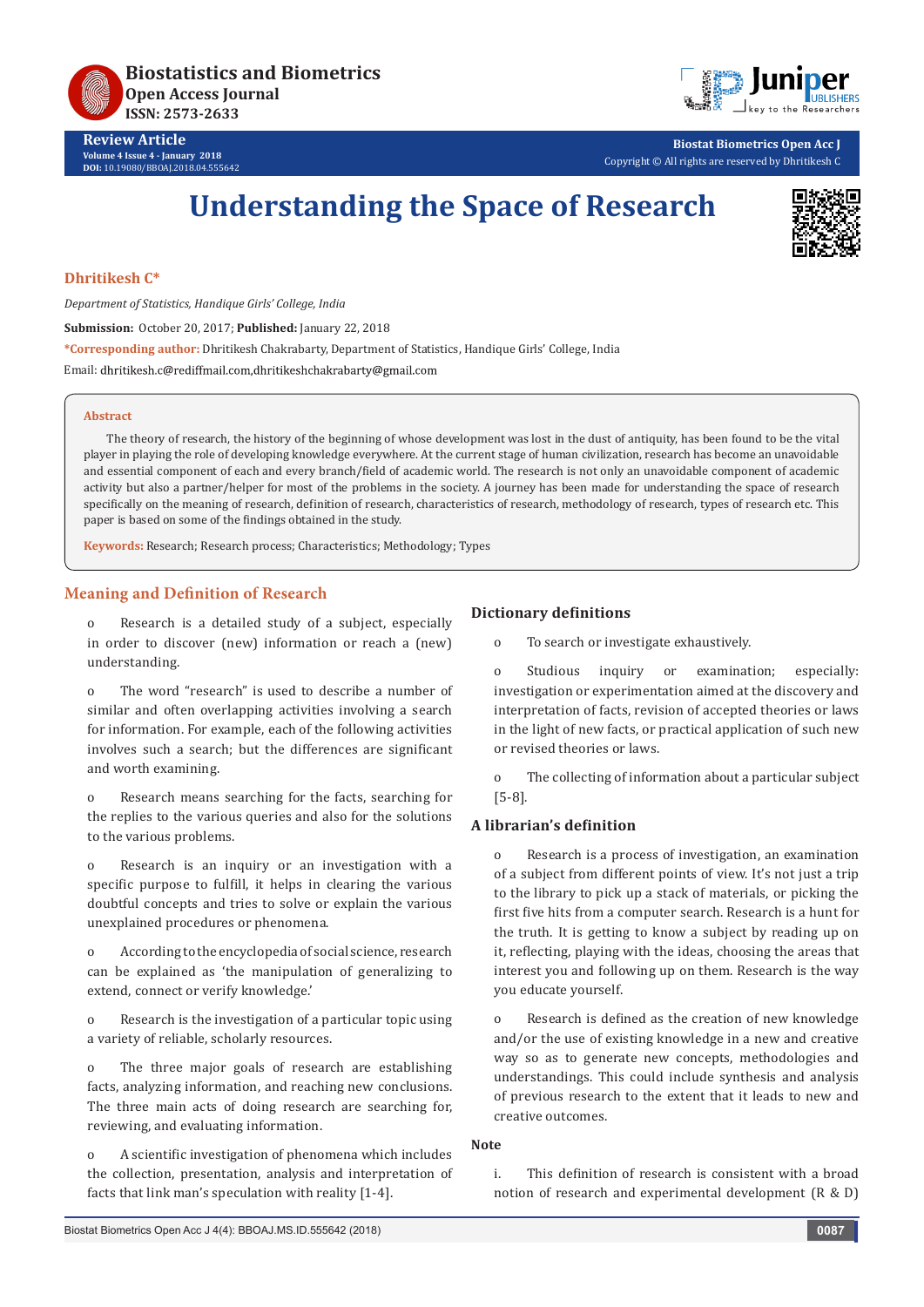**Biostatistics and Biometrics Open Access Journal ISSN: 2573-2633**



**Biostat Biometrics Open Acc J** Copyright © All rights are reserved by Dhritikesh C

# **Understanding the Space of Research**



## **Dhritikesh C\***

**Review Article Volume 4 Issue 4 - January 2018 DOI:** [10.19080/BBOAJ.2018.04.555642](http://dx.doi.org/10.19080/BBOAJ.2018.04.555642)

*Department of Statistics, Handique Girls' College, India*

**Submission:** October 20, 2017; **Published:** January 22, 2018

**\*Corresponding author:** Dhritikesh Chakrabarty, Department of Statistics, Handique Girls' College, India

Email: dhritikesh.c@rediffmail.com,dhritikeshchakrabarty@gmail.com

#### **Abstract**

The theory of research, the history of the beginning of whose development was lost in the dust of antiquity, has been found to be the vital player in playing the role of developing knowledge everywhere. At the current stage of human civilization, research has become an unavoidable and essential component of each and every branch/field of academic world. The research is not only an unavoidable component of academic activity but also a partner/helper for most of the problems in the society. A journey has been made for understanding the space of research specifically on the meaning of research, definition of research, characteristics of research, methodology of research, types of research etc. This paper is based on some of the findings obtained in the study.

**Keywords:** Research; Research process; Characteristics; Methodology; Types

#### **Meaning and Definition of Research**

o Research is a detailed study of a subject, especially in order to discover (new) information or reach a (new) understanding.

o The word "research" is used to describe a number of similar and often overlapping activities involving a search for information. For example, each of the following activities involves such a search; but the differences are significant and worth examining.

o Research means searching for the facts, searching for the replies to the various queries and also for the solutions to the various problems.

o Research is an inquiry or an investigation with a specific purpose to fulfill, it helps in clearing the various doubtful concepts and tries to solve or explain the various unexplained procedures or phenomena.

o According to the encyclopedia of social science, research can be explained as 'the manipulation of generalizing to extend, connect or verify knowledge.'

o Research is the investigation of a particular topic using a variety of reliable, scholarly resources.

o The three major goals of research are establishing facts, analyzing information, and reaching new conclusions. The three main acts of doing research are searching for, reviewing, and evaluating information.

o A scientific investigation of phenomena which includes the collection, presentation, analysis and interpretation of facts that link man's speculation with reality [1-4].

#### **Dictionary definitions**

o To search or investigate exhaustively.

o Studious inquiry or examination; especially: investigation or experimentation aimed at the discovery and interpretation of facts, revision of accepted theories or laws in the light of new facts, or practical application of such new or revised theories or laws.

o The collecting of information about a particular subject [5-8].

# **A librarian's definition**

o Research is a process of investigation, an examination of a subject from different points of view. It's not just a trip to the library to pick up a stack of materials, or picking the first five hits from a computer search. Research is a hunt for the truth. It is getting to know a subject by reading up on it, reflecting, playing with the ideas, choosing the areas that interest you and following up on them. Research is the way you educate yourself.

o Research is defined as the creation of new knowledge and/or the use of existing knowledge in a new and creative way so as to generate new concepts, methodologies and understandings. This could include synthesis and analysis of previous research to the extent that it leads to new and creative outcomes.

## **Note**

i. This definition of research is consistent with a broad notion of research and experimental development (R & D)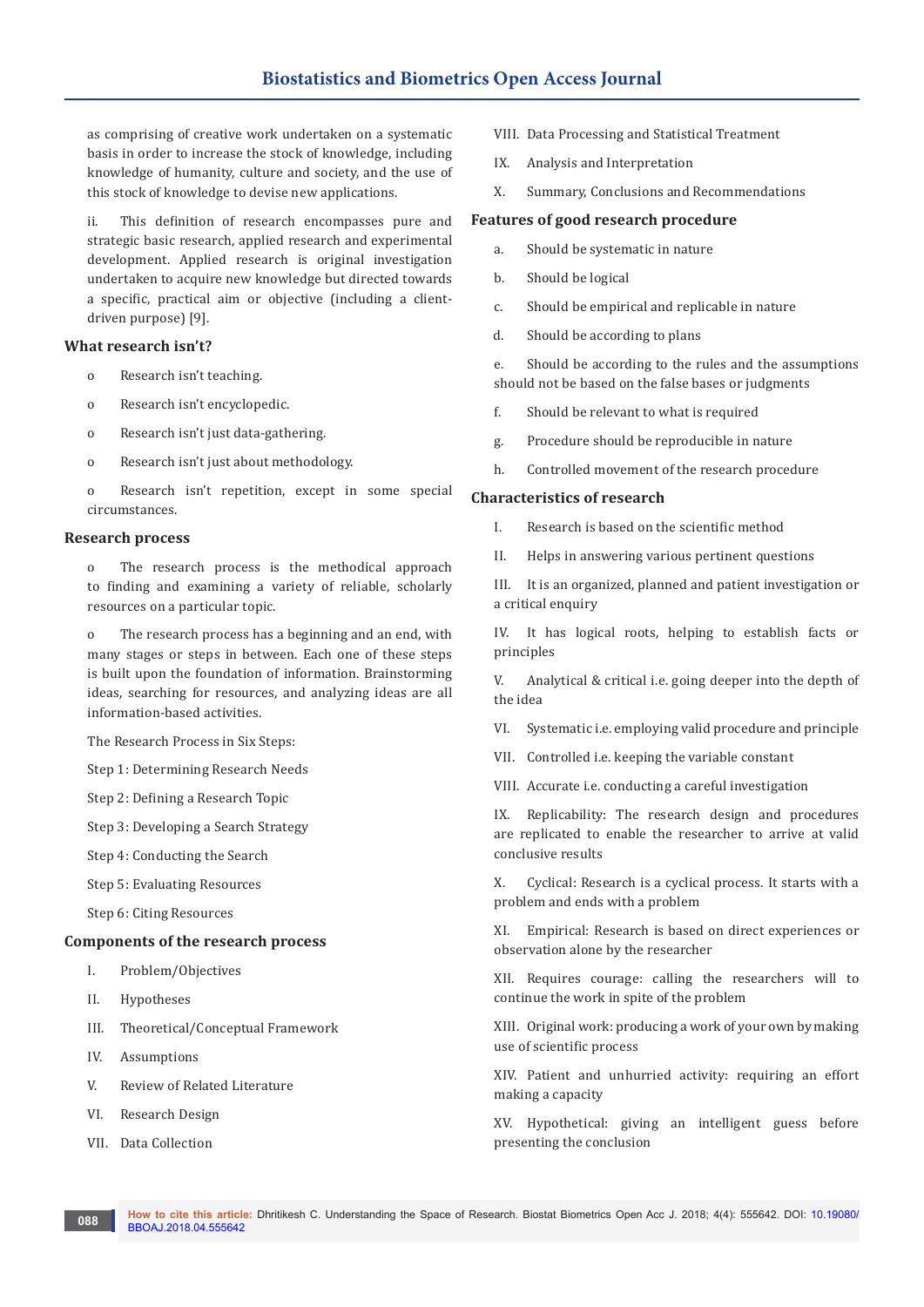as comprising of creative work undertaken on a systematic basis in order to increase the stock of knowledge, including knowledge of humanity, culture and society, and the use of this stock of knowledge to devise new applications.

ii. This definition of research encompasses pure and strategic basic research, applied research and experimental development. Applied research is original investigation undertaken to acquire new knowledge but directed towards a specific, practical aim or objective (including a clientdriven purpose) [9].

## **What research isn't?**

- o Research isn't teaching.
- o Research isn't encyclopedic.
- o Research isn't just data-gathering.
- o Research isn't just about methodology.

o Research isn't repetition, except in some special circumstances.

## **Research process**

o The research process is the methodical approach to finding and examining a variety of reliable, scholarly resources on a particular topic.

o The research process has a beginning and an end, with many stages or steps in between. Each one of these steps is built upon the foundation of information. Brainstorming ideas, searching for resources, and analyzing ideas are all information-based activities.

The Research Process in Six Steps:

Step 1: Determining Research Needs

Step 2: Defining a Research Topic

Step 3: Developing a Search Strategy

Step 4: Conducting the Search

Step 5: Evaluating Resources

Step 6: Citing Resources

# **Components of the research process**

- I. Problem/Objectives
- II. Hypotheses
- III. Theoretical/Conceptual Framework
- IV. Assumptions
- V. Review of Related Literature
- VI. Research Design
- VII. Data Collection
- VIII. Data Processing and Statistical Treatment
- IX. Analysis and Interpretation
- X. Summary, Conclusions and Recommendations

## **Features of good research procedure**

- a. Should be systematic in nature
- b. Should be logical
- c. Should be empirical and replicable in nature
- d. Should be according to plans

e. Should be according to the rules and the assumptions should not be based on the false bases or judgments

- f. Should be relevant to what is required
- g. Procedure should be reproducible in nature
- h. Controlled movement of the research procedure

# **Characteristics of research**

- I. Research is based on the scientific method
- II. Helps in answering various pertinent questions

III. It is an organized, planned and patient investigation or a critical enquiry

IV. It has logical roots, helping to establish facts or principles

V. Analytical & critical i.e. going deeper into the depth of the idea

- VI. Systematic i.e. employing valid procedure and principle
- VII. Controlled i.e. keeping the variable constant
- VIII. Accurate i.e. conducting a careful investigation

IX. Replicability: The research design and procedures are replicated to enable the researcher to arrive at valid conclusive results

X. Cyclical: Research is a cyclical process. It starts with a problem and ends with a problem

XI. Empirical: Research is based on direct experiences or observation alone by the researcher

XII. Requires courage: calling the researchers will to continue the work in spite of the problem

XIII. Original work: producing a work of your own by making use of scientific process

XIV. Patient and unhurried activity: requiring an effort making a capacity

XV. Hypothetical: giving an intelligent guess before presenting the conclusion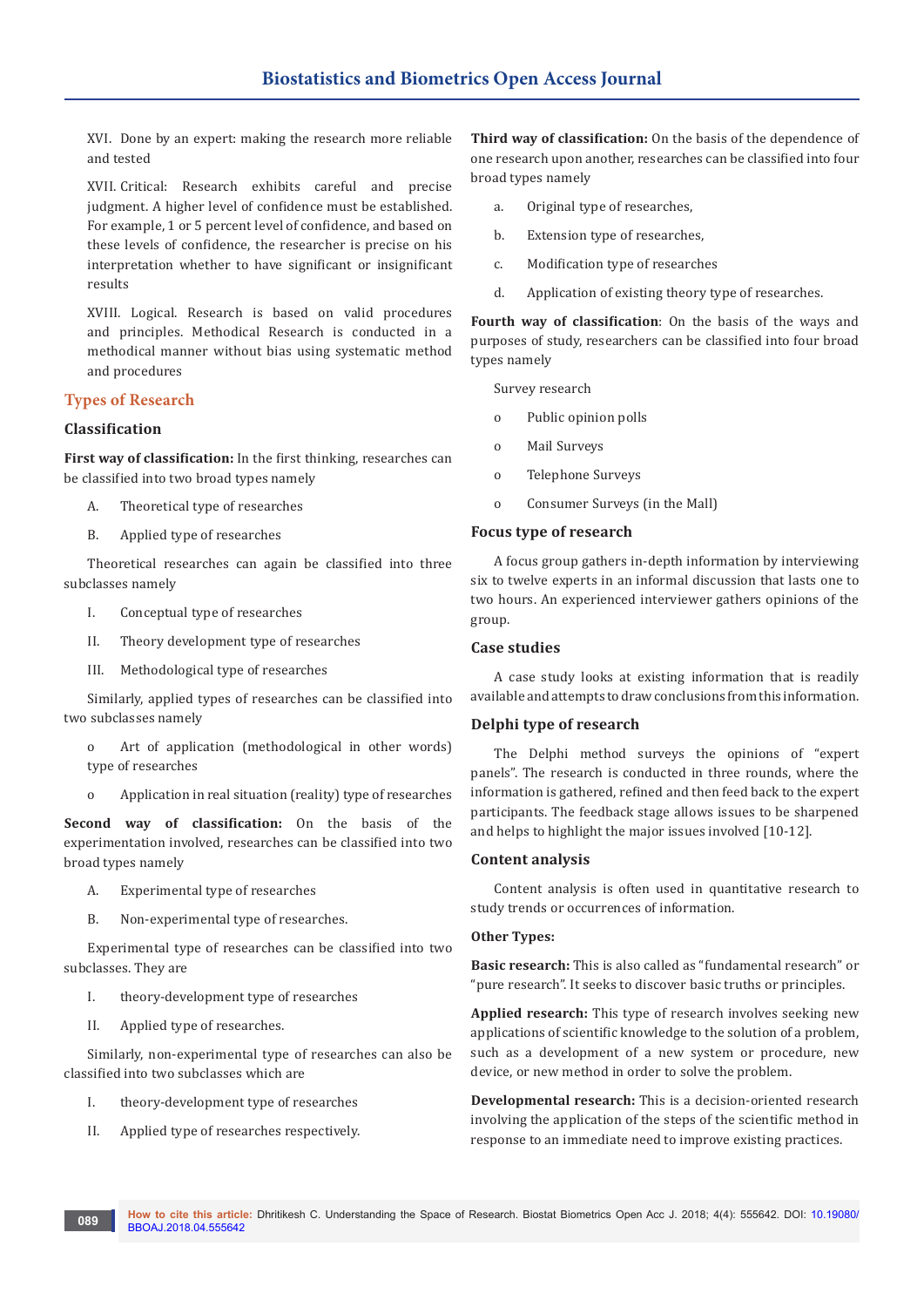XVI. Done by an expert: making the research more reliable and tested

XVII. Critical: Research exhibits careful and precise judgment. A higher level of confidence must be established. For example, 1 or 5 percent level of confidence, and based on these levels of confidence, the researcher is precise on his interpretation whether to have significant or insignificant results

XVIII. Logical. Research is based on valid procedures and principles. Methodical Research is conducted in a methodical manner without bias using systematic method and procedures

# **Types of Research**

## **Classification**

**First way of classification:** In the first thinking, researches can be classified into two broad types namely

- A. Theoretical type of researches
- B. Applied type of researches

Theoretical researches can again be classified into three subclasses namely

- I. Conceptual type of researches
- II. Theory development type of researches
- III. Methodological type of researches

Similarly, applied types of researches can be classified into two subclasses namely

- o Art of application (methodological in other words) type of researches
- o Application in real situation (reality) type of researches

**Second way of classification:** On the basis of the experimentation involved, researches can be classified into two broad types namely

- A. Experimental type of researches
- B. Non-experimental type of researches.

Experimental type of researches can be classified into two subclasses. They are

- I. theory-development type of researches
- II. Applied type of researches.

Similarly, non-experimental type of researches can also be classified into two subclasses which are

- I. theory-development type of researches
- II. Applied type of researches respectively.

**Third way of classification:** On the basis of the dependence of one research upon another, researches can be classified into four broad types namely

- a. Original type of researches,
- b. Extension type of researches,
- c. Modification type of researches
- d. Application of existing theory type of researches.

**Fourth way of classification**: On the basis of the ways and purposes of study, researchers can be classified into four broad types namely

Survey research

- o Public opinion polls
- o Mail Surveys
- o Telephone Surveys
- o Consumer Surveys (in the Mall)

## **Focus type of research**

A focus group gathers in-depth information by interviewing six to twelve experts in an informal discussion that lasts one to two hours. An experienced interviewer gathers opinions of the group.

#### **Case studies**

A case study looks at existing information that is readily available and attempts to draw conclusions from this information.

## **Delphi type of research**

The Delphi method surveys the opinions of "expert panels". The research is conducted in three rounds, where the information is gathered, refined and then feed back to the expert participants. The feedback stage allows issues to be sharpened and helps to highlight the major issues involved [10-12].

#### **Content analysis**

Content analysis is often used in quantitative research to study trends or occurrences of information.

#### **Other Types:**

**Basic research:** This is also called as "fundamental research" or "pure research". It seeks to discover basic truths or principles.

**Applied research:** This type of research involves seeking new applications of scientific knowledge to the solution of a problem, such as a development of a new system or procedure, new device, or new method in order to solve the problem.

**Developmental research:** This is a decision-oriented research involving the application of the steps of the scientific method in response to an immediate need to improve existing practices.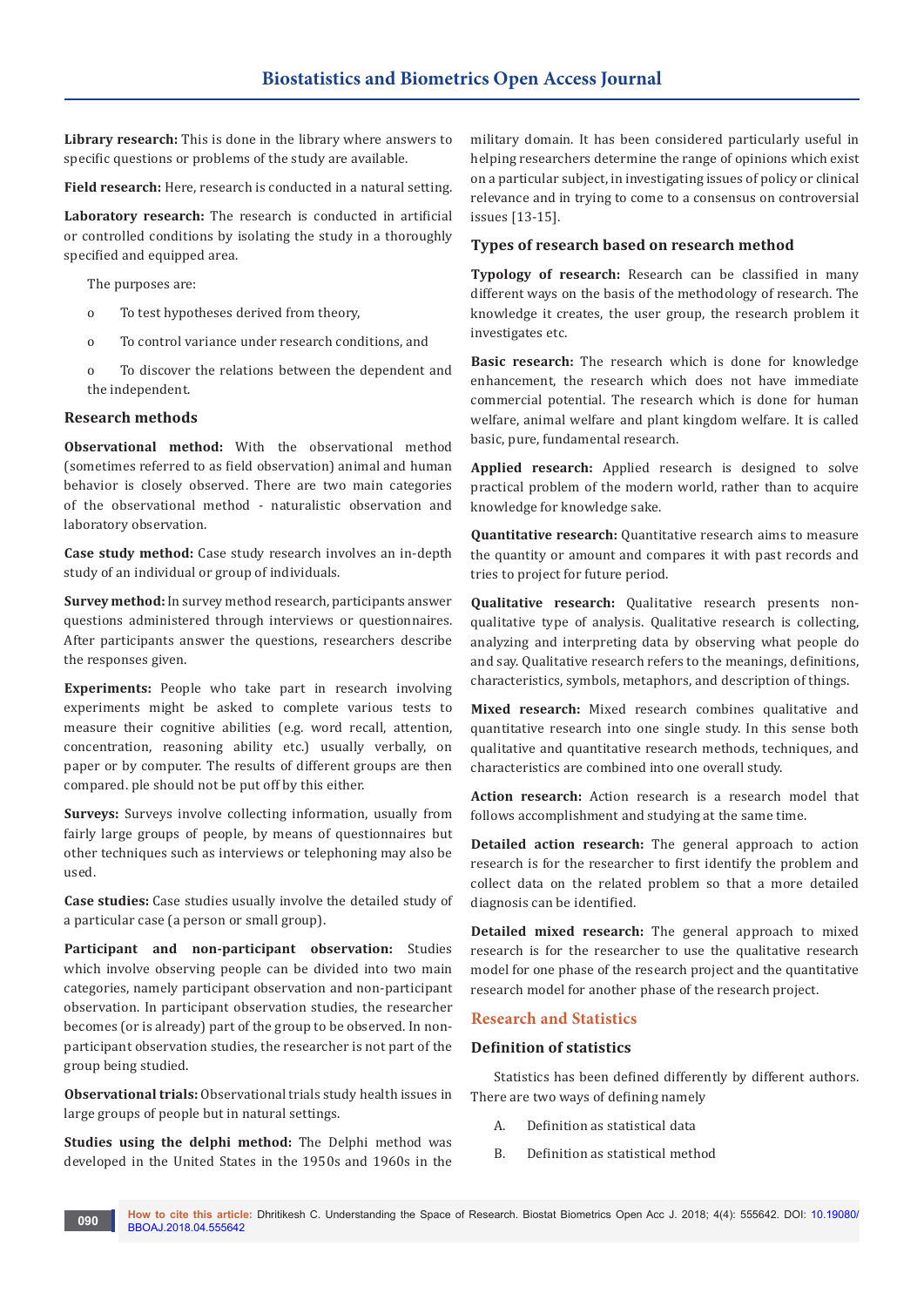**Library research:** This is done in the library where answers to specific questions or problems of the study are available.

**Field research:** Here, research is conducted in a natural setting.

**Laboratory research:** The research is conducted in artificial or controlled conditions by isolating the study in a thoroughly specified and equipped area.

The purposes are:

- o To test hypotheses derived from theory,
- o To control variance under research conditions, and
- o To discover the relations between the dependent and the independent.

#### **Research methods**

**Observational method:** With the observational method (sometimes referred to as field observation) animal and human behavior is closely observed. There are two main categories of the observational method - naturalistic observation and laboratory observation.

**Case study method:** Case study research involves an in-depth study of an individual or group of individuals.

**Survey method:** In survey method research, participants answer questions administered through interviews or questionnaires. After participants answer the questions, researchers describe the responses given.

**Experiments:** People who take part in research involving experiments might be asked to complete various tests to measure their cognitive abilities (e.g. word recall, attention, concentration, reasoning ability etc.) usually verbally, on paper or by computer. The results of different groups are then compared. ple should not be put off by this either.

**Surveys:** Surveys involve collecting information, usually from fairly large groups of people, by means of questionnaires but other techniques such as interviews or telephoning may also be used.

**Case studies:** Case studies usually involve the detailed study of a particular case (a person or small group).

**Participant and non-participant observation:** Studies which involve observing people can be divided into two main categories, namely participant observation and non-participant observation. In participant observation studies, the researcher becomes (or is already) part of the group to be observed. In nonparticipant observation studies, the researcher is not part of the group being studied.

**Observational trials:** Observational trials study health issues in large groups of people but in natural settings.

**Studies using the delphi method:** The Delphi method was developed in the United States in the 1950s and 1960s in the military domain. It has been considered particularly useful in helping researchers determine the range of opinions which exist on a particular subject, in investigating issues of policy or clinical relevance and in trying to come to a consensus on controversial issues [13-15].

## **Types of research based on research method**

**Typology of research:** Research can be classified in many different ways on the basis of the methodology of research. The knowledge it creates, the user group, the research problem it investigates etc.

**Basic research:** The research which is done for knowledge enhancement, the research which does not have immediate commercial potential. The research which is done for human welfare, animal welfare and plant kingdom welfare. It is called basic, pure, fundamental research.

**Applied research:** Applied research is designed to solve practical problem of the modern world, rather than to acquire knowledge for knowledge sake.

**Quantitative research:** Quantitative research aims to measure the quantity or amount and compares it with past records and tries to project for future period.

**Qualitative research:** Qualitative research presents nonqualitative type of analysis. Qualitative research is collecting, analyzing and interpreting data by observing what people do and say. Qualitative research refers to the meanings, definitions, characteristics, symbols, metaphors, and description of things.

**Mixed research:** Mixed research combines qualitative and quantitative research into one single study. In this sense both qualitative and quantitative research methods, techniques, and characteristics are combined into one overall study.

**Action research:** Action research is a research model that follows accomplishment and studying at the same time.

**Detailed action research:** The general approach to action research is for the researcher to first identify the problem and collect data on the related problem so that a more detailed diagnosis can be identified.

**Detailed mixed research:** The general approach to mixed research is for the researcher to use the qualitative research model for one phase of the research project and the quantitative research model for another phase of the research project.

## **Research and Statistics**

### **Definition of statistics**

Statistics has been defined differently by different authors. There are two ways of defining namely

- A. Definition as statistical data
- B. Definition as statistical method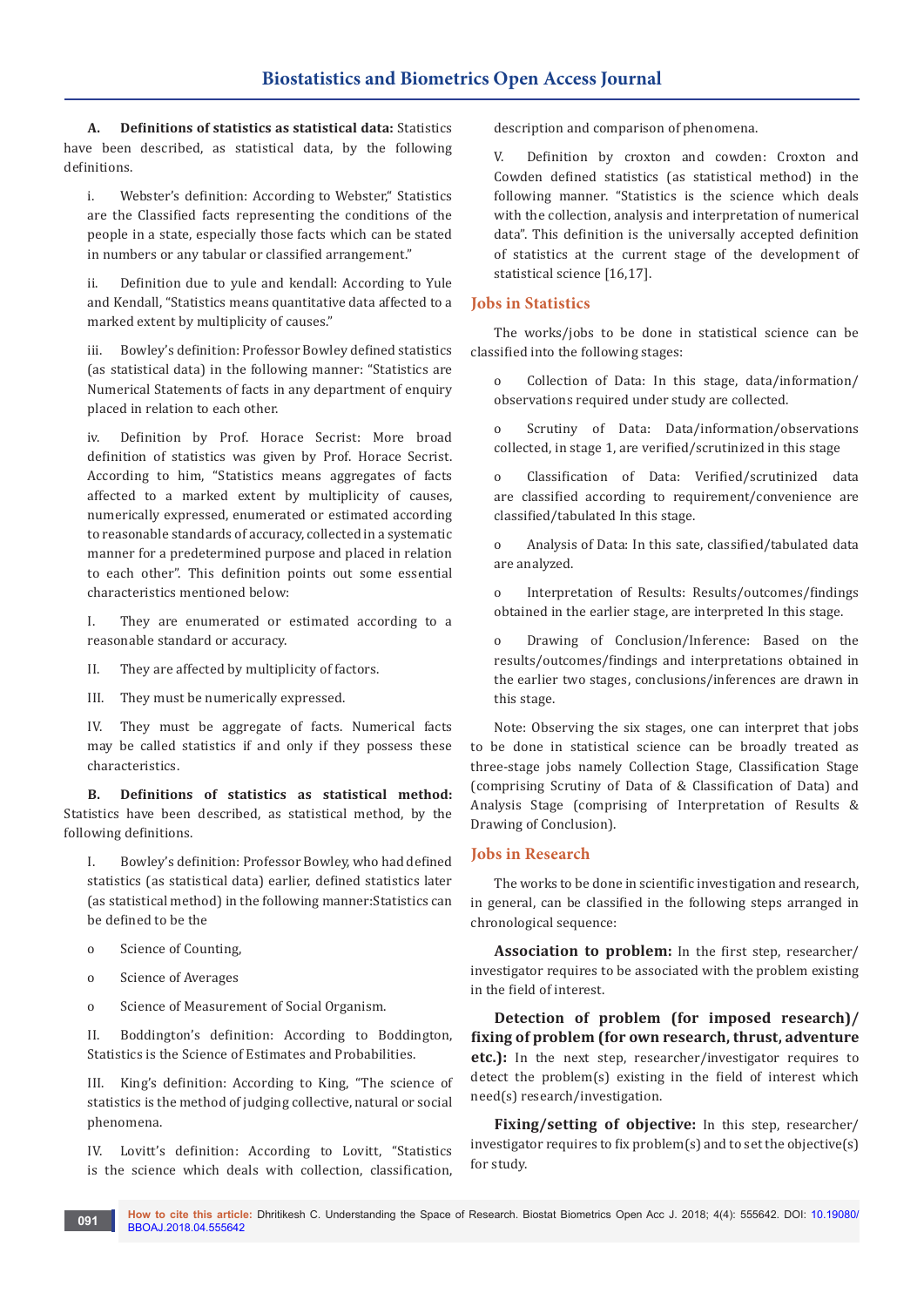**A. Definitions of statistics as statistical data:** Statistics have been described, as statistical data, by the following definitions.

i. Webster's definition: According to Webster," Statistics are the Classified facts representing the conditions of the people in a state, especially those facts which can be stated in numbers or any tabular or classified arrangement."

ii. Definition due to yule and kendall: According to Yule and Kendall, "Statistics means quantitative data affected to a marked extent by multiplicity of causes."

iii. Bowley's definition: Professor Bowley defined statistics (as statistical data) in the following manner: "Statistics are Numerical Statements of facts in any department of enquiry placed in relation to each other.

iv. Definition by Prof. Horace Secrist: More broad definition of statistics was given by Prof. Horace Secrist. According to him, "Statistics means aggregates of facts affected to a marked extent by multiplicity of causes, numerically expressed, enumerated or estimated according to reasonable standards of accuracy, collected in a systematic manner for a predetermined purpose and placed in relation to each other". This definition points out some essential characteristics mentioned below:

I. They are enumerated or estimated according to a reasonable standard or accuracy.

II. They are affected by multiplicity of factors.

III. They must be numerically expressed.

IV. They must be aggregate of facts. Numerical facts may be called statistics if and only if they possess these characteristics.

**B. Definitions of statistics as statistical method:** Statistics have been described, as statistical method, by the following definitions.

I. Bowley's definition: Professor Bowley, who had defined statistics (as statistical data) earlier, defined statistics later (as statistical method) in the following manner:Statistics can be defined to be the

- o Science of Counting,
- o Science of Averages
- o Science of Measurement of Social Organism.

II. Boddington's definition: According to Boddington, Statistics is the Science of Estimates and Probabilities.

III. King's definition: According to King, "The science of statistics is the method of judging collective, natural or social phenomena.

IV. Lovitt's definition: According to Lovitt, "Statistics is the science which deals with collection, classification,

description and comparison of phenomena.

V. Definition by croxton and cowden: Croxton and Cowden defined statistics (as statistical method) in the following manner. "Statistics is the science which deals with the collection, analysis and interpretation of numerical data". This definition is the universally accepted definition of statistics at the current stage of the development of statistical science [16,17].

## **Jobs in Statistics**

The works/jobs to be done in statistical science can be classified into the following stages:

o Collection of Data: In this stage, data/information/ observations required under study are collected.

o Scrutiny of Data: Data/information/observations collected, in stage 1, are verified/scrutinized in this stage

o Classification of Data: Verified/scrutinized data are classified according to requirement/convenience are classified/tabulated In this stage.

o Analysis of Data: In this sate, classified/tabulated data are analyzed.

o Interpretation of Results: Results/outcomes/findings obtained in the earlier stage, are interpreted In this stage.

o Drawing of Conclusion/Inference: Based on the results/outcomes/findings and interpretations obtained in the earlier two stages, conclusions/inferences are drawn in this stage.

Note: Observing the six stages, one can interpret that jobs to be done in statistical science can be broadly treated as three-stage jobs namely Collection Stage, Classification Stage (comprising Scrutiny of Data of & Classification of Data) and Analysis Stage (comprising of Interpretation of Results & Drawing of Conclusion).

# **Jobs in Research**

The works to be done in scientific investigation and research, in general, can be classified in the following steps arranged in chronological sequence:

**Association to problem:** In the first step, researcher/ investigator requires to be associated with the problem existing in the field of interest.

**Detection of problem (for imposed research)/ fixing of problem (for own research, thrust, adventure etc.):** In the next step, researcher/investigator requires to detect the problem(s) existing in the field of interest which need(s) research/investigation.

**Fixing/setting of objective:** In this step, researcher/ investigator requires to fix problem(s) and to set the objective(s) for study.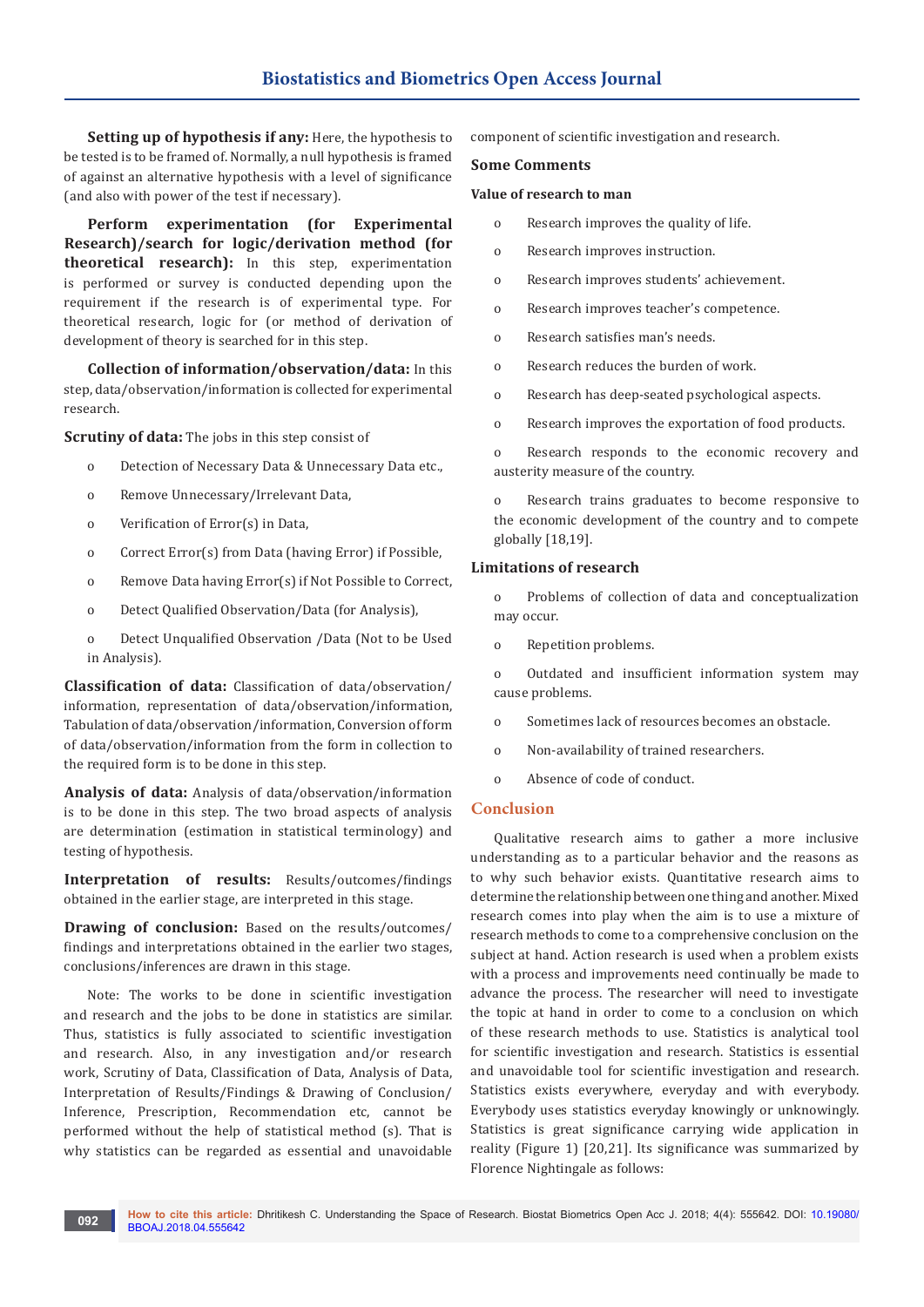**Setting up of hypothesis if any:** Here, the hypothesis to be tested is to be framed of. Normally, a null hypothesis is framed of against an alternative hypothesis with a level of significance (and also with power of the test if necessary).

**Perform experimentation (for Experimental Research)/search for logic/derivation method (for theoretical research):** In this step, experimentation is performed or survey is conducted depending upon the requirement if the research is of experimental type. For theoretical research, logic for (or method of derivation of development of theory is searched for in this step.

**Collection of information/observation/data:** In this step, data/observation/information is collected for experimental research.

**Scrutiny of data:** The jobs in this step consist of

- o Detection of Necessary Data & Unnecessary Data etc.,
- o Remove Unnecessary/Irrelevant Data,
- o Verification of Error(s) in Data,
- o Correct Error(s) from Data (having Error) if Possible,
- o Remove Data having Error(s) if Not Possible to Correct,
- o Detect Qualified Observation/Data (for Analysis),
- o Detect Unqualified Observation /Data (Not to be Used in Analysis).

**Classification of data:** Classification of data/observation/ information, representation of data/observation/information, Tabulation of data/observation/information, Conversion of form of data/observation/information from the form in collection to the required form is to be done in this step.

**Analysis of data:** Analysis of data/observation/information is to be done in this step. The two broad aspects of analysis are determination (estimation in statistical terminology) and testing of hypothesis.

**Interpretation of results:** Results/outcomes/findings obtained in the earlier stage, are interpreted in this stage.

**Drawing of conclusion:** Based on the results/outcomes/ findings and interpretations obtained in the earlier two stages, conclusions/inferences are drawn in this stage.

Note: The works to be done in scientific investigation and research and the jobs to be done in statistics are similar. Thus, statistics is fully associated to scientific investigation and research. Also, in any investigation and/or research work, Scrutiny of Data, Classification of Data, Analysis of Data, Interpretation of Results/Findings & Drawing of Conclusion/ Inference, Prescription, Recommendation etc, cannot be performed without the help of statistical method (s). That is why statistics can be regarded as essential and unavoidable

component of scientific investigation and research.

#### **Some Comments**

#### **Value of research to man**

- o Research improves the quality of life.
- o Research improves instruction.
- o Research improves students' achievement.
- o Research improves teacher's competence.
- o Research satisfies man's needs.
- o Research reduces the burden of work.
- o Research has deep-seated psychological aspects.
- o Research improves the exportation of food products.

o Research responds to the economic recovery and austerity measure of the country.

o Research trains graduates to become responsive to the economic development of the country and to compete globally [18,19].

## **Limitations of research**

o Problems of collection of data and conceptualization may occur.

o Repetition problems.

o Outdated and insufficient information system may cause problems.

- o Sometimes lack of resources becomes an obstacle.
- o Non-availability of trained researchers.
- o Absence of code of conduct.

### **Conclusion**

Qualitative research aims to gather a more inclusive understanding as to a particular behavior and the reasons as to why such behavior exists. Quantitative research aims to determine the relationship between one thing and another. Mixed research comes into play when the aim is to use a mixture of research methods to come to a comprehensive conclusion on the subject at hand. Action research is used when a problem exists with a process and improvements need continually be made to advance the process. The researcher will need to investigate the topic at hand in order to come to a conclusion on which of these research methods to use. Statistics is analytical tool for scientific investigation and research. Statistics is essential and unavoidable tool for scientific investigation and research. Statistics exists everywhere, everyday and with everybody. Everybody uses statistics everyday knowingly or unknowingly. Statistics is great significance carrying wide application in reality (Figure 1) [20,21]. Its significance was summarized by Florence Nightingale as follows: